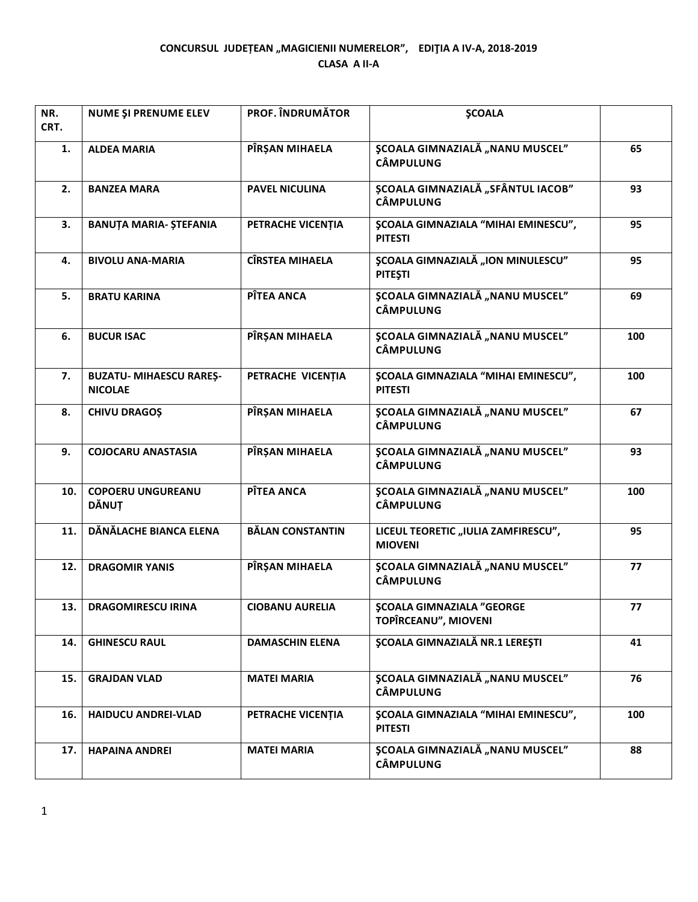## CONCURSUL JUDEȚEAN "MAGICIENII NUMERELOR", EDIȚIA A IV-A, 2018-2019 **CLASA A II-A**

| NR.<br>CRT. | NUME ȘI PRENUME ELEV                             | <b>PROF. ÎNDRUMĂTOR</b> | <b>ŞCOALA</b>                                                |     |
|-------------|--------------------------------------------------|-------------------------|--------------------------------------------------------------|-----|
| 1.          | <b>ALDEA MARIA</b>                               | PÎRŞAN MIHAELA          | <b>ȘCOALA GIMNAZIALĂ "NANU MUSCEL"</b><br><b>CÂMPULUNG</b>   | 65  |
| 2.          | <b>BANZEA MARA</b>                               | <b>PAVEL NICULINA</b>   | ȘCOALA GIMNAZIALĂ "SFÂNTUL IACOB"<br><b>CÂMPULUNG</b>        | 93  |
| 3.          | <b>BANUȚA MARIA- ȘTEFANIA</b>                    | PETRACHE VICENȚIA       | <b>ȘCOALA GIMNAZIALA "MIHAI EMINESCU",</b><br><b>PITESTI</b> | 95  |
| 4.          | <b>BIVOLU ANA-MARIA</b>                          | <b>CÎRSTEA MIHAELA</b>  | <b>ȘCOALA GIMNAZIALĂ "ION MINULESCU"</b><br><b>PITEȘTI</b>   | 95  |
| 5.          | <b>BRATU KARINA</b>                              | PÎTEA ANCA              | <b>ȘCOALA GIMNAZIALĂ "NANU MUSCEL"</b><br><b>CÂMPULUNG</b>   | 69  |
| 6.          | <b>BUCUR ISAC</b>                                | PÎRȘAN MIHAELA          | <b>SCOALA GIMNAZIALĂ "NANU MUSCEL"</b><br><b>CÂMPULUNG</b>   | 100 |
| 7.          | <b>BUZATU- MIHAESCU RAREȘ-</b><br><b>NICOLAE</b> | PETRACHE VICENȚIA       | <b>ȘCOALA GIMNAZIALA "MIHAI EMINESCU",</b><br><b>PITESTI</b> | 100 |
| 8.          | <b>CHIVU DRAGOS</b>                              | PÎRŞAN MIHAELA          | <b>ȘCOALA GIMNAZIALĂ "NANU MUSCEL"</b><br><b>CÂMPULUNG</b>   | 67  |
| 9.          | <b>COJOCARU ANASTASIA</b>                        | PÎRȘAN MIHAELA          | <b>ȘCOALA GIMNAZIALĂ "NANU MUSCEL"</b><br><b>CÂMPULUNG</b>   | 93  |
| 10.         | <b>COPOERU UNGUREANU</b><br><b>DĂNUȚ</b>         | PÎTEA ANCA              | <b>ȘCOALA GIMNAZIALĂ "NANU MUSCEL"</b><br><b>CÂMPULUNG</b>   | 100 |
| 11.         | DĂNĂLACHE BIANCA ELENA                           | <b>BĂLAN CONSTANTIN</b> | LICEUL TEORETIC "IULIA ZAMFIRESCU",<br><b>MIOVENI</b>        | 95  |
| 12.         | <b>DRAGOMIR YANIS</b>                            | PÎRȘAN MIHAELA          | <b>ȘCOALA GIMNAZIALĂ "NANU MUSCEL"</b><br><b>CÂMPULUNG</b>   | 77  |
| 13.         | <b>DRAGOMIRESCU IRINA</b>                        | <b>CIOBANU AURELIA</b>  | <b>ŞCOALA GIMNAZIALA "GEORGE</b><br>TOPÎRCEANU", MIOVENI     | 77  |
| 14.         | <b>GHINESCU RAUL</b>                             | <b>DAMASCHIN ELENA</b>  | <b>SCOALA GIMNAZIALĂ NR.1 LEREȘTI</b>                        | 41  |
| 15.         | <b>GRAJDAN VLAD</b>                              | <b>MATEI MARIA</b>      | <b>SCOALA GIMNAZIALĂ "NANU MUSCEL"</b><br><b>CÂMPULUNG</b>   | 76  |
| 16.         | <b>HAIDUCU ANDREI-VLAD</b>                       | PETRACHE VICENȚIA       | <b>ŞCOALA GIMNAZIALA "MIHAI EMINESCU",</b><br><b>PITESTI</b> | 100 |
| 17.         | <b>HAPAINA ANDREI</b>                            | <b>MATEI MARIA</b>      | <b>ȘCOALA GIMNAZIALĂ "NANU MUSCEL"</b><br><b>CÂMPULUNG</b>   | 88  |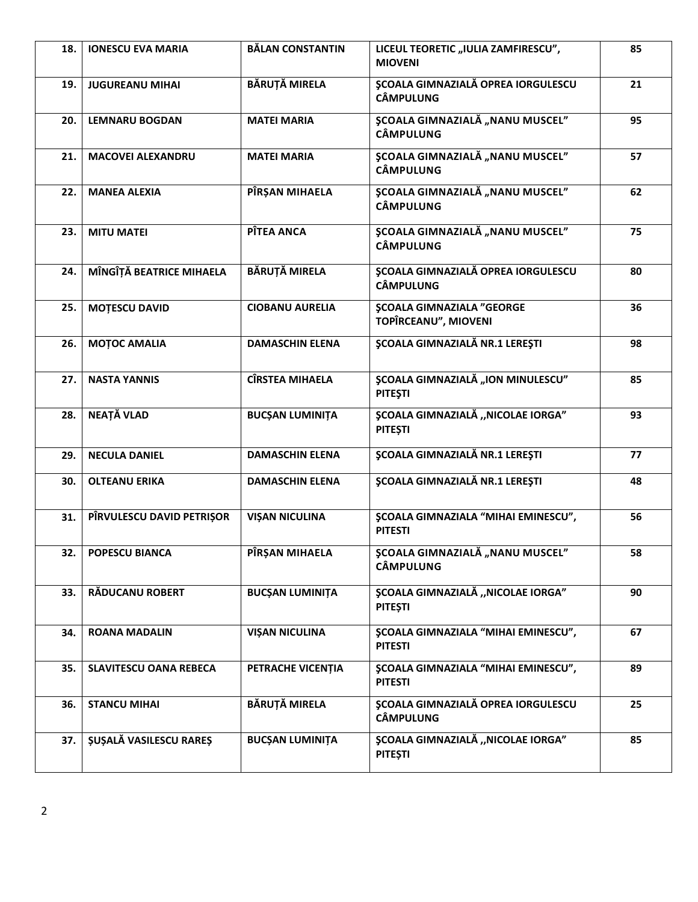| 18. | <b>IONESCU EVA MARIA</b>      | <b>BĂLAN CONSTANTIN</b> | LICEUL TEORETIC "IULIA ZAMFIRESCU",<br><b>MIOVENI</b>         | 85 |
|-----|-------------------------------|-------------------------|---------------------------------------------------------------|----|
| 19. | <b>JUGUREANU MIHAI</b>        | <b>BĂRUȚĂ MIRELA</b>    | <b>ȘCOALA GIMNAZIALĂ OPREA IORGULESCU</b><br><b>CÂMPULUNG</b> | 21 |
| 20. | <b>LEMNARU BOGDAN</b>         | <b>MATEI MARIA</b>      | <b>ȘCOALA GIMNAZIALĂ "NANU MUSCEL"</b><br><b>CÂMPULUNG</b>    | 95 |
| 21. | <b>MACOVEI ALEXANDRU</b>      | <b>MATEI MARIA</b>      | <b>ȘCOALA GIMNAZIALĂ "NANU MUSCEL"</b><br><b>CÂMPULUNG</b>    | 57 |
| 22. | <b>MANEA ALEXIA</b>           | PÎRŞAN MIHAELA          | <b>ȘCOALA GIMNAZIALĂ "NANU MUSCEL"</b><br><b>CÂMPULUNG</b>    | 62 |
| 23. | <b>MITU MATEI</b>             | PÎTEA ANCA              | ȘCOALA GIMNAZIALĂ "NANU MUSCEL"<br><b>CÂMPULUNG</b>           | 75 |
| 24. | MÎNGÎȚĂ BEATRICE MIHAELA      | <b>BĂRUTĂ MIRELA</b>    | <b>ȘCOALA GIMNAZIALĂ OPREA IORGULESCU</b><br><b>CÂMPULUNG</b> | 80 |
| 25. | <b>MOTESCU DAVID</b>          | <b>CIOBANU AURELIA</b>  | <b>ŞCOALA GIMNAZIALA "GEORGE</b><br>TOPÎRCEANU", MIOVENI      | 36 |
| 26. | <b>MOTOC AMALIA</b>           | <b>DAMASCHIN ELENA</b>  | <b>ŞCOALA GIMNAZIALĂ NR.1 LEREȘTI</b>                         | 98 |
| 27. | <b>NASTA YANNIS</b>           | <b>CÎRSTEA MIHAELA</b>  | <b>ȘCOALA GIMNAZIALĂ "ION MINULESCU"</b><br><b>PITEȘTI</b>    | 85 |
| 28. | NEAȚĂ VLAD                    | <b>BUCȘAN LUMINIȚA</b>  | ȘCOALA GIMNAZIALĂ "NICOLAE IORGA"<br><b>PITEȘTI</b>           | 93 |
| 29. | <b>NECULA DANIEL</b>          | <b>DAMASCHIN ELENA</b>  | <b>ȘCOALA GIMNAZIALĂ NR.1 LEREȘTI</b>                         | 77 |
| 30. | <b>OLTEANU ERIKA</b>          | <b>DAMASCHIN ELENA</b>  | <b>ŞCOALA GIMNAZIALĂ NR.1 LEREȘTI</b>                         | 48 |
| 31. | PÎRVULESCU DAVID PETRIŞOR     | <b>VIŞAN NICULINA</b>   | <b>ŞCOALA GIMNAZIALA "MIHAI EMINESCU",</b><br><b>PITESTI</b>  | 56 |
| 32. | POPESCU BIANCA                | PIRŞAN MIHAELA          | ȘCOALA GIMNAZIALĂ "NANU MUSCEL"<br>CÂMPULUNG                  | 58 |
| 33. | <b>RĂDUCANU ROBERT</b>        | <b>BUCȘAN LUMINIȚA</b>  | ȘCOALA GIMNAZIALĂ "NICOLAE IORGA"<br><b>PITEȘTI</b>           | 90 |
| 34. | <b>ROANA MADALIN</b>          | <b>VIȘAN NICULINA</b>   | <b>ȘCOALA GIMNAZIALA "MIHAI EMINESCU",</b><br><b>PITESTI</b>  | 67 |
| 35. | <b>SLAVITESCU OANA REBECA</b> | PETRACHE VICENTIA       | <b>ŞCOALA GIMNAZIALA "MIHAI EMINESCU",</b><br><b>PITESTI</b>  | 89 |
| 36. | <b>STANCU MIHAI</b>           | <b>BĂRUȚĂ MIRELA</b>    | <b>ȘCOALA GIMNAZIALĂ OPREA IORGULESCU</b><br><b>CÂMPULUNG</b> | 25 |
| 37. | <b>ȘUȘALĂ VASILESCU RAREȘ</b> | <b>BUCȘAN LUMINIȚA</b>  | ȘCOALA GIMNAZIALĂ "NICOLAE IORGA"<br><b>PITEȘTI</b>           | 85 |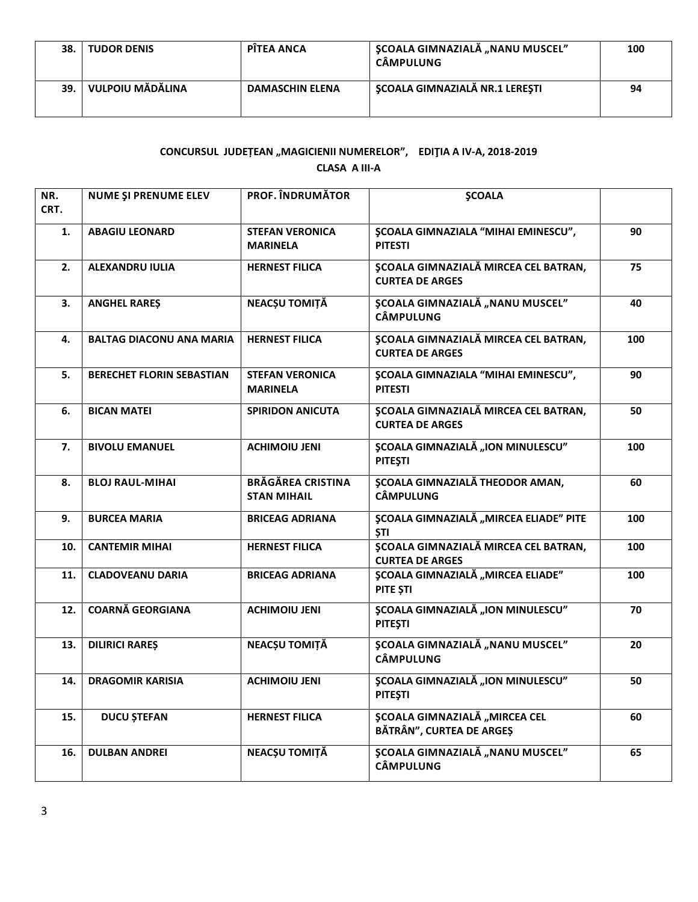| 38. | <b>TUDOR DENIS</b> | PÎTEA ANCA             | <b>SCOALA GIMNAZIALĂ "NANU MUSCEL"</b><br>CÂMPULUNG | 100 |
|-----|--------------------|------------------------|-----------------------------------------------------|-----|
| 39. | VULPOIU MĂDĂLINA   | <b>DAMASCHIN ELENA</b> | SCOALA GIMNAZIALĂ NR.1 LEREȘTI                      | 94  |

## CONCURSUL JUDEȚEAN "MAGICIENII NUMERELOR", EDIȚIA A IV-A, 2018-2019 **CLASA A III-A**

| NR.<br>CRT. | <b>NUME ȘI PRENUME ELEV</b>      | <b>PROF. ÎNDRUMĂTOR</b>                        | <b>SCOALA</b>                                                         |     |
|-------------|----------------------------------|------------------------------------------------|-----------------------------------------------------------------------|-----|
| 1.          | <b>ABAGIU LEONARD</b>            | <b>STEFAN VERONICA</b><br><b>MARINELA</b>      | <b>ŞCOALA GIMNAZIALA "MIHAI EMINESCU",</b><br><b>PITESTI</b>          | 90  |
| 2.          | <b>ALEXANDRU IULIA</b>           | <b>HERNEST FILICA</b>                          | ȘCOALA GIMNAZIALĂ MIRCEA CEL BATRAN,<br><b>CURTEA DE ARGES</b>        | 75  |
| 3.          | <b>ANGHEL RARES</b>              | <b>NEACȘU TOMIȚĂ</b>                           | <b>ȘCOALA GIMNAZIALĂ "NANU MUSCEL"</b><br><b>CÂMPULUNG</b>            | 40  |
| 4.          | <b>BALTAG DIACONU ANA MARIA</b>  | <b>HERNEST FILICA</b>                          | ȘCOALA GIMNAZIALĂ MIRCEA CEL BATRAN,<br><b>CURTEA DE ARGES</b>        | 100 |
| 5.          | <b>BERECHET FLORIN SEBASTIAN</b> | <b>STEFAN VERONICA</b><br><b>MARINELA</b>      | <b>ŞCOALA GIMNAZIALA "MIHAI EMINESCU",</b><br><b>PITESTI</b>          | 90  |
| 6.          | <b>BICAN MATEI</b>               | <b>SPIRIDON ANICUTA</b>                        | ȘCOALA GIMNAZIALĂ MIRCEA CEL BATRAN,<br><b>CURTEA DE ARGES</b>        | 50  |
| 7.          | <b>BIVOLU EMANUEL</b>            | <b>ACHIMOIU JENI</b>                           | <b>ȘCOALA GIMNAZIALĂ "ION MINULESCU"</b><br><b>PITESTI</b>            | 100 |
| 8.          | <b>BLOJ RAUL-MIHAI</b>           | <b>BRĂGĂREA CRISTINA</b><br><b>STAN MIHAIL</b> | <b>ȘCOALA GIMNAZIALĂ THEODOR AMAN,</b><br><b>CÂMPULUNG</b>            | 60  |
| 9.          | <b>BURCEA MARIA</b>              | <b>BRICEAG ADRIANA</b>                         | <b>ȘCOALA GIMNAZIALĂ "MIRCEA ELIADE" PITE</b><br><b>STI</b>           | 100 |
| 10.         | <b>CANTEMIR MIHAI</b>            | <b>HERNEST FILICA</b>                          | <b>ȘCOALA GIMNAZIALĂ MIRCEA CEL BATRAN,</b><br><b>CURTEA DE ARGES</b> | 100 |
| 11.         | <b>CLADOVEANU DARIA</b>          | <b>BRICEAG ADRIANA</b>                         | ȘCOALA GIMNAZIALĂ "MIRCEA ELIADE"<br>PITE ȘTI                         | 100 |
| 12.         | <b>COARNĂ GEORGIANA</b>          | <b>ACHIMOIU JENI</b>                           | <b>\$COALA GIMNAZIALĂ "ION MINULESCU"</b><br><b>PITESTI</b>           | 70  |
| 13.         | <b>DILIRICI RAREŞ</b>            | NEACȘU TOMIȚĂ                                  | <b>ȘCOALA GIMNAZIALĂ "NANU MUSCEL"</b><br><b>CÂMPULUNG</b>            | 20  |
| 14.         | <b>DRAGOMIR KARISIA</b>          | <b>ACHIMOIU JENI</b>                           | <b>ȘCOALA GIMNAZIALĂ "ION MINULESCU"</b><br><b>PITEȘTI</b>            | 50  |
| 15.         | <b>DUCU ȘTEFAN</b>               | <b>HERNEST FILICA</b>                          | <b>ȘCOALA GIMNAZIALĂ "MIRCEA CEL</b><br>BĂTRÂN", CURTEA DE ARGES      | 60  |
| 16.         | <b>DULBAN ANDREI</b>             | NEACȘU TOMIȚĂ                                  | <b>ȘCOALA GIMNAZIALĂ "NANU MUSCEL"</b><br><b>CÂMPULUNG</b>            | 65  |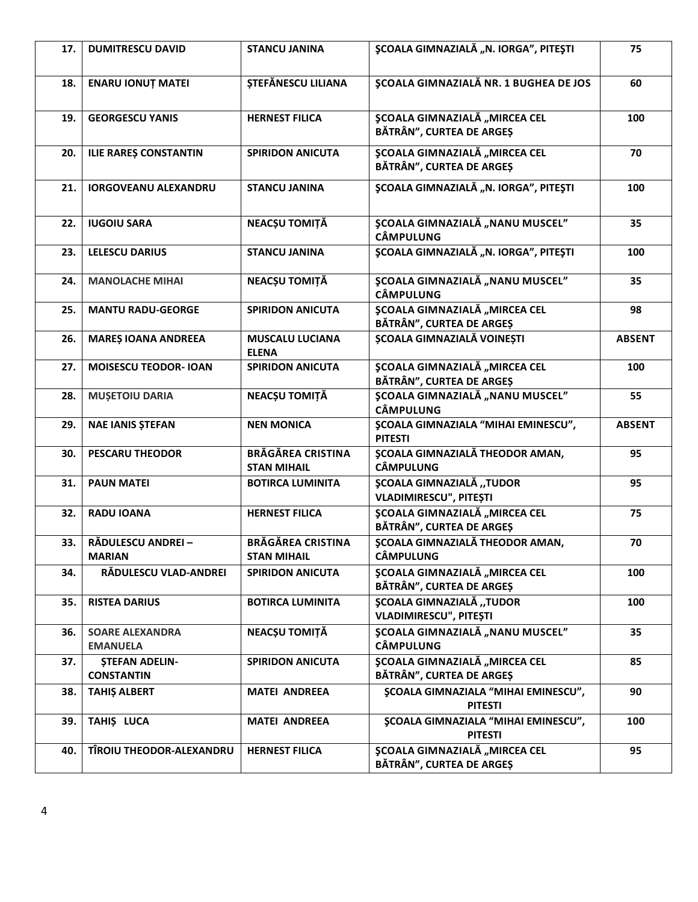| 17. | <b>DUMITRESCU DAVID</b>                    | <b>STANCU JANINA</b>                           | ȘCOALA GIMNAZIALĂ "N. IORGA", PITEȘTI                            | 75            |
|-----|--------------------------------------------|------------------------------------------------|------------------------------------------------------------------|---------------|
| 18. | <b>ENARU IONUT MATEI</b>                   | STEFĂNESCU LILIANA                             | <b>ȘCOALA GIMNAZIALĂ NR. 1 BUGHEA DE JOS</b>                     | 60            |
| 19. | <b>GEORGESCU YANIS</b>                     | <b>HERNEST FILICA</b>                          | <b>SCOALA GIMNAZIALĂ "MIRCEA CEL</b><br>BĂTRÂN", CURTEA DE ARGEȘ | 100           |
| 20. | <b>ILIE RAREȘ CONSTANTIN</b>               | <b>SPIRIDON ANICUTA</b>                        | <b>ȘCOALA GIMNAZIALĂ "MIRCEA CEL</b><br>BĂTRÂN", CURTEA DE ARGEȘ | 70            |
| 21. | <b>IORGOVEANU ALEXANDRU</b>                | <b>STANCU JANINA</b>                           | ȘCOALA GIMNAZIALĂ "N. IORGA", PITEȘTI                            | 100           |
| 22. | <b>IUGOIU SARA</b>                         | NEACȘU TOMIȚĂ                                  | ȘCOALA GIMNAZIALĂ "NANU MUSCEL"<br><b>CÂMPULUNG</b>              | 35            |
| 23. | <b>LELESCU DARIUS</b>                      | <b>STANCU JANINA</b>                           | ȘCOALA GIMNAZIALĂ "N. IORGA", PITEȘTI                            | 100           |
| 24. | <b>MANOLACHE MIHAI</b>                     | NEACȘU TOMIȚĂ                                  | <b>ȘCOALA GIMNAZIALĂ "NANU MUSCEL"</b><br><b>CÂMPULUNG</b>       | 35            |
| 25. | <b>MANTU RADU-GEORGE</b>                   | <b>SPIRIDON ANICUTA</b>                        | <b>SCOALA GIMNAZIALĂ "MIRCEA CEL</b><br>BĂTRÂN", CURTEA DE ARGES | 98            |
| 26. | <b>MAREȘ IOANA ANDREEA</b>                 | <b>MUSCALU LUCIANA</b><br><b>ELENA</b>         | <b>ȘCOALA GIMNAZIALĂ VOINEȘTI</b>                                | <b>ABSENT</b> |
| 27. | <b>MOISESCU TEODOR- IOAN</b>               | <b>SPIRIDON ANICUTA</b>                        | <b>ȘCOALA GIMNAZIALĂ "MIRCEA CEL</b><br>BĂTRÂN", CURTEA DE ARGEȘ | 100           |
| 28. | <b>MUȘETOIU DARIA</b>                      | NEACȘU TOMIȚĂ                                  | <b>ȘCOALA GIMNAZIALĂ "NANU MUSCEL"</b><br><b>CÂMPULUNG</b>       | 55            |
| 29. | <b>NAE IANIS ȘTEFAN</b>                    | <b>NEN MONICA</b>                              | <b>ŞCOALA GIMNAZIALA "MIHAI EMINESCU",</b><br><b>PITESTI</b>     | <b>ABSENT</b> |
| 30. | <b>PESCARU THEODOR</b>                     | <b>BRĂGĂREA CRISTINA</b><br><b>STAN MIHAIL</b> | <b>ȘCOALA GIMNAZIALĂ THEODOR AMAN,</b><br><b>CÂMPULUNG</b>       | 95            |
| 31. | <b>PAUN MATEI</b>                          | <b>BOTIRCA LUMINITA</b>                        | ȘCOALA GIMNAZIALĂ "TUDOR<br>VLADIMIRESCU", PITEȘTI               | 95            |
| 32. | <b>RADU IOANA</b>                          | <b>HERNEST FILICA</b>                          | <b>ȘCOALA GIMNAZIALĂ "MIRCEA CEL</b><br>BĂTRÂN", CURTEA DE ARGEȘ | 75            |
| 33. | RĂDULESCU ANDREI-<br><b>MARIAN</b>         | <b>BRĂGĂREA CRISTINA</b><br><b>STAN MIHAIL</b> | <b>ȘCOALA GIMNAZIALĂ THEODOR AMAN,</b><br><b>CÂMPULUNG</b>       | 70            |
| 34. | RĂDULESCU VLAD-ANDREI                      | <b>SPIRIDON ANICUTA</b>                        | <b>ȘCOALA GIMNAZIALĂ "MIRCEA CEL</b><br>BĂTRÂN", CURTEA DE ARGES | 100           |
| 35. | <b>RISTEA DARIUS</b>                       | <b>BOTIRCA LUMINITA</b>                        | <b>ȘCOALA GIMNAZIALĂ "TUDOR</b><br><b>VLADIMIRESCU", PITEȘTI</b> | 100           |
| 36. | <b>SOARE ALEXANDRA</b><br><b>EMANUELA</b>  | NEACȘU TOMIȚĂ                                  | <b>ȘCOALA GIMNAZIALĂ "NANU MUSCEL"</b><br><b>CÂMPULUNG</b>       | 35            |
| 37. | <b>STEFAN ADELIN-</b><br><b>CONSTANTIN</b> | <b>SPIRIDON ANICUTA</b>                        | <b>ȘCOALA GIMNAZIALĂ "MIRCEA CEL</b><br>BĂTRÂN", CURTEA DE ARGEȘ | 85            |
| 38. | <b>TAHIŞ ALBERT</b>                        | <b>MATEI ANDREEA</b>                           | <b>SCOALA GIMNAZIALA "MIHAI EMINESCU",</b><br><b>PITESTI</b>     | 90            |
| 39. | TAHIŞ LUCA                                 | <b>MATEI ANDREEA</b>                           | <b>ŞCOALA GIMNAZIALA "MIHAI EMINESCU",</b><br><b>PITESTI</b>     | 100           |
| 40. | TÎROIU THEODOR-ALEXANDRU                   | <b>HERNEST FILICA</b>                          | <b>ȘCOALA GIMNAZIALĂ "MIRCEA CEL</b><br>BĂTRÂN", CURTEA DE ARGEȘ | 95            |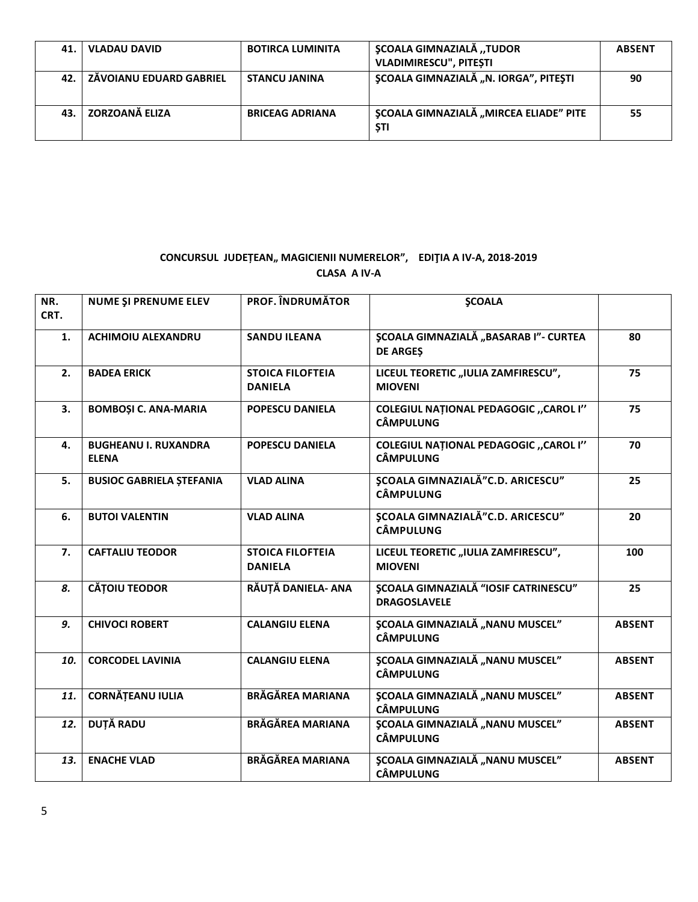| 41. I | <b>VLADAU DAVID</b>            | <b>BOTIRCA LUMINITA</b> | <b>SCOALA GIMNAZIALĂ "TUDOR</b><br><b>VLADIMIRESCU", PITESTI</b> | <b>ABSENT</b> |
|-------|--------------------------------|-------------------------|------------------------------------------------------------------|---------------|
| 42.   | <b>ZÁVOIANU EDUARD GABRIEL</b> | <b>STANCU JANINA</b>    | ȘCOALA GIMNAZIALĂ "N. IORGA", PITEȘTI                            | 90            |
| 43.   | ZORZOANĂ ELIZA                 | <b>BRICEAG ADRIANA</b>  | <b>ȘCOALA GIMNAZIALĂ "MIRCEA ELIADE" PITE</b><br><b>STI</b>      | 55            |

## CONCURSUL JUDEȚEAN,, MAGICIENII NUMERELOR", EDIȚIA A IV-A, 2018-2019 **CLASA A IV-A**

| NR.<br>CRT. | NUME ȘI PRENUME ELEV                        | <b>PROF. ÎNDRUMĂTOR</b>                   | <b>SCOALA</b>                                                      |               |
|-------------|---------------------------------------------|-------------------------------------------|--------------------------------------------------------------------|---------------|
| 1.          | <b>ACHIMOIU ALEXANDRU</b>                   | <b>SANDU ILEANA</b>                       | <b>ȘCOALA GIMNAZIALĂ "BASARAB I"- CURTEA</b><br><b>DE ARGES</b>    | 80            |
| 2.          | <b>BADEA ERICK</b>                          | <b>STOICA FILOFTEIA</b><br><b>DANIELA</b> | LICEUL TEORETIC "IULIA ZAMFIRESCU",<br><b>MIOVENI</b>              | 75            |
| 3.          | <b>BOMBOȘI C. ANA-MARIA</b>                 | <b>POPESCU DANIELA</b>                    | <b>COLEGIUL NATIONAL PEDAGOGIC "CAROL I"</b><br><b>CÂMPULUNG</b>   | 75            |
| 4.          | <b>BUGHEANU I. RUXANDRA</b><br><b>ELENA</b> | <b>POPESCU DANIELA</b>                    | <b>COLEGIUL NATIONAL PEDAGOGIC "CAROL I"</b><br><b>CÂMPULUNG</b>   | 70            |
| 5.          | <b>BUSIOC GABRIELA ȘTEFANIA</b>             | <b>VLAD ALINA</b>                         | <b>ȘCOALA GIMNAZIALĂ"C.D. ARICESCU"</b><br><b>CÂMPULUNG</b>        | 25            |
| 6.          | <b>BUTOI VALENTIN</b>                       | <b>VLAD ALINA</b>                         | <b>SCOALA GIMNAZIALĂ"C.D. ARICESCU"</b><br><b>CÂMPULUNG</b>        | 20            |
| 7.          | <b>CAFTALIU TEODOR</b>                      | <b>STOICA FILOFTEIA</b><br><b>DANIELA</b> | LICEUL TEORETIC "IULIA ZAMFIRESCU",<br><b>MIOVENI</b>              | 100           |
| 8.          | <b>CĂTOIU TEODOR</b>                        | RĂUȚĂ DANIELA- ANA                        | <b>ȘCOALA GIMNAZIALĂ "IOSIF CATRINESCU"</b><br><b>DRAGOSLAVELE</b> | 25            |
| 9.          | <b>CHIVOCI ROBERT</b>                       | <b>CALANGIU ELENA</b>                     | <b>ȘCOALA GIMNAZIALĂ "NANU MUSCEL"</b><br><b>CÂMPULUNG</b>         | <b>ABSENT</b> |
| 10.         | <b>CORCODEL LAVINIA</b>                     | <b>CALANGIU ELENA</b>                     | <b>ȘCOALA GIMNAZIALĂ "NANU MUSCEL"</b><br><b>CÂMPULUNG</b>         | <b>ABSENT</b> |
| 11.         | <b>CORNĂȚEANU IULIA</b>                     | <b>BRĂGĂREA MARIANA</b>                   | <b>ȘCOALA GIMNAZIALĂ "NANU MUSCEL"</b><br><b>CÂMPULUNG</b>         | <b>ABSENT</b> |
| 12.         | <b>DUTĂ RADU</b>                            | <b>BRĂGĂREA MARIANA</b>                   | <b>ȘCOALA GIMNAZIALĂ "NANU MUSCEL"</b><br><b>CÂMPULUNG</b>         | <b>ABSENT</b> |
| 13.         | <b>ENACHE VLAD</b>                          | <b>BRĂGĂREA MARIANA</b>                   | <b>SCOALA GIMNAZIALĂ "NANU MUSCEL"</b><br><b>CÂMPULUNG</b>         | <b>ABSENT</b> |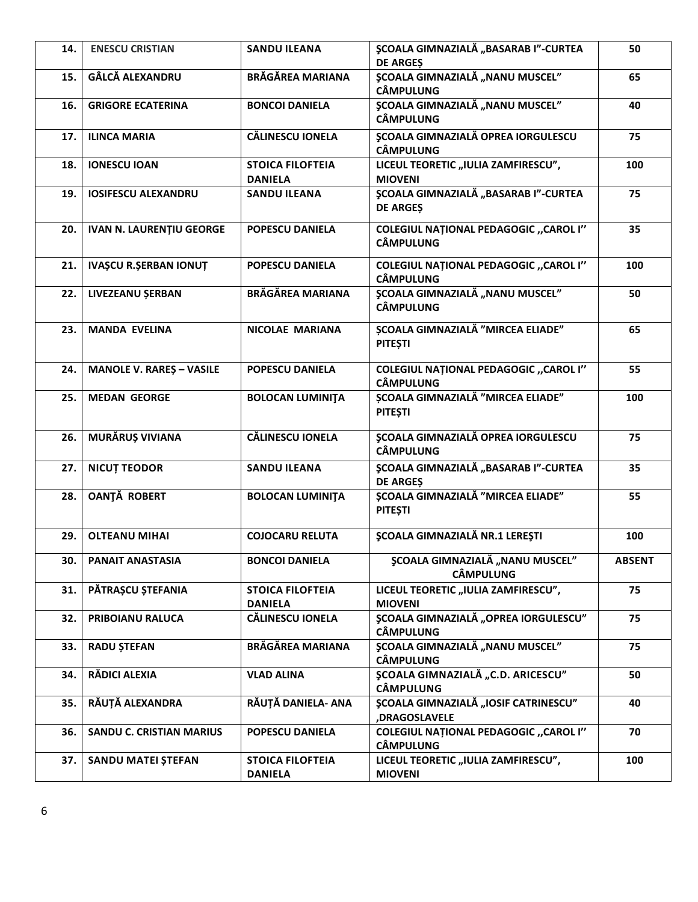| 14. | <b>ENESCU CRISTIAN</b>          | <b>SANDU ILEANA</b>                       | <b>ŞCOALA GIMNAZIALĂ "BASARAB I"-CURTEA</b><br><b>DE ARGES</b>   | 50            |
|-----|---------------------------------|-------------------------------------------|------------------------------------------------------------------|---------------|
| 15. | GÂLCĂ ALEXANDRU                 | <b>BRĂGĂREA MARIANA</b>                   | <b>ȘCOALA GIMNAZIALĂ "NANU MUSCEL"</b><br><b>CÂMPULUNG</b>       | 65            |
| 16. | <b>GRIGORE ECATERINA</b>        | <b>BONCOI DANIELA</b>                     | <b>SCOALA GIMNAZIALĂ "NANU MUSCEL"</b><br><b>CÂMPULUNG</b>       | 40            |
| 17. | <b>ILINCA MARIA</b>             | <b>CĂLINESCU IONELA</b>                   | <b>ȘCOALA GIMNAZIALĂ OPREA IORGULESCU</b><br><b>CÂMPULUNG</b>    | 75            |
| 18. | <b>IONESCU IOAN</b>             | <b>STOICA FILOFTEIA</b><br><b>DANIELA</b> | LICEUL TEORETIC "IULIA ZAMFIRESCU",<br><b>MIOVENI</b>            | 100           |
| 19. | <b>IOSIFESCU ALEXANDRU</b>      | <b>SANDU ILEANA</b>                       | <b>ȘCOALA GIMNAZIALĂ "BASARAB I"-CURTEA</b><br><b>DE ARGES</b>   | 75            |
| 20. | <b>IVAN N. LAURENȚIU GEORGE</b> | <b>POPESCU DANIELA</b>                    | <b>COLEGIUL NATIONAL PEDAGOGIC "CAROL I"</b><br><b>CÂMPULUNG</b> | 35            |
| 21. | <b>IVAȘCU R.ȘERBAN IONUT</b>    | <b>POPESCU DANIELA</b>                    | <b>COLEGIUL NATIONAL PEDAGOGIC "CAROL I"</b><br><b>CÂMPULUNG</b> | 100           |
| 22. | LIVEZEANU ȘERBAN                | <b>BRĂGĂREA MARIANA</b>                   | <b>ȘCOALA GIMNAZIALĂ "NANU MUSCEL"</b><br><b>CÂMPULUNG</b>       | 50            |
| 23. | <b>MANDA EVELINA</b>            | <b>NICOLAE MARIANA</b>                    | <b>SCOALA GIMNAZIALĂ "MIRCEA ELIADE"</b><br><b>PITESTI</b>       | 65            |
| 24. | <b>MANOLE V. RARES - VASILE</b> | <b>POPESCU DANIELA</b>                    | <b>COLEGIUL NATIONAL PEDAGOGIC "CAROL I"</b><br><b>CÂMPULUNG</b> | 55            |
| 25. | <b>MEDAN GEORGE</b>             | <b>BOLOCAN LUMINITA</b>                   | ȘCOALA GIMNAZIALĂ "MIRCEA ELIADE"<br><b>PITESTI</b>              | 100           |
| 26. | MURĂRUȘ VIVIANA                 | <b>CĂLINESCU IONELA</b>                   | <b>ȘCOALA GIMNAZIALĂ OPREA IORGULESCU</b><br><b>CÂMPULUNG</b>    | 75            |
| 27. | <b>NICUT TEODOR</b>             | <b>SANDU ILEANA</b>                       | <b>ŞCOALA GIMNAZIALĂ "BASARAB I"-CURTEA</b><br><b>DE ARGES</b>   | 35            |
| 28. | <b>OANȚĂ ROBERT</b>             | <b>BOLOCAN LUMINITA</b>                   | <b>SCOALA GIMNAZIALĂ "MIRCEA ELIADE"</b><br><b>PITEȘTI</b>       | 55            |
| 29. | <b>OLTEANU MIHAI</b>            | <b>COJOCARU RELUTA</b>                    | <b>ŞCOALA GIMNAZIALĂ NR.1 LEREȘTI</b>                            | 100           |
| 30. | PANAIT ANASTASIA                | <b>BONCOI DANIELA</b>                     | <b>\$COALA GIMNAZIALĂ "NANU MUSCEL"</b><br><b>CÂMPULUNG</b>      | <b>ABSENT</b> |
| 31. | PĂTRAȘCU ȘTEFANIA               | <b>STOICA FILOFTEIA</b><br><b>DANIELA</b> | LICEUL TEORETIC "IULIA ZAMFIRESCU",<br><b>MIOVENI</b>            | 75            |
| 32. | PRIBOIANU RALUCA                | <b>CĂLINESCU IONELA</b>                   | <b>\$COALA GIMNAZIALĂ "OPREA IORGULESCU"</b><br><b>CÂMPULUNG</b> | 75            |
| 33. | <b>RADU ȘTEFAN</b>              | <b>BRĂGĂREA MARIANA</b>                   | <b>ȘCOALA GIMNAZIALĂ "NANU MUSCEL"</b><br><b>CÂMPULUNG</b>       | 75            |
| 34. | RĂDICI ALEXIA                   | <b>VLAD ALINA</b>                         | ȘCOALA GIMNAZIALĂ "C.D. ARICESCU"<br><b>CÂMPULUNG</b>            | 50            |
| 35. | RĂUȚĂ ALEXANDRA                 | RĂUȚĂ DANIELA- ANA                        | <b>ȘCOALA GIMNAZIALĂ "IOSIF CATRINESCU"</b><br>,DRAGOSLAVELE     | 40            |
| 36. | <b>SANDU C. CRISTIAN MARIUS</b> | POPESCU DANIELA                           | <b>COLEGIUL NAȚIONAL PEDAGOGIC "CAROL I"</b><br><b>CÂMPULUNG</b> | 70            |
| 37. | <b>SANDU MATEI ȘTEFAN</b>       | <b>STOICA FILOFTEIA</b><br><b>DANIELA</b> | LICEUL TEORETIC "IULIA ZAMFIRESCU",<br><b>MIOVENI</b>            | 100           |